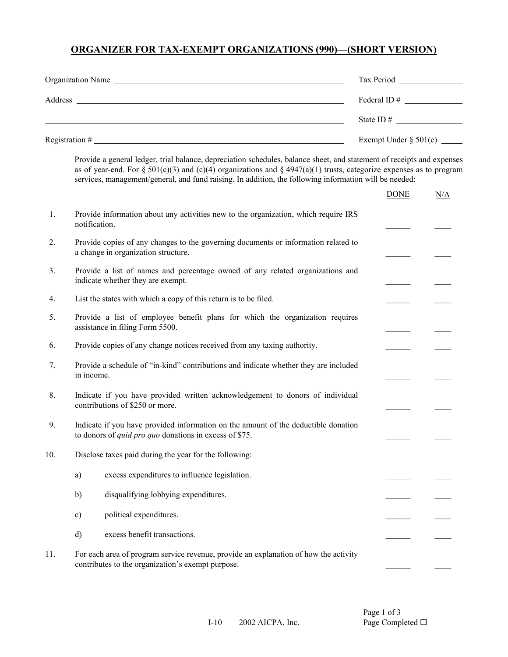# **ORGANIZER FOR TAX-EXEMPT ORGANIZATIONS (990)—(SHORT VERSION)**

|     |              | Organization Name                                                                                                                                                                                                                                                                                                                                       |  |             |     |  |
|-----|--------------|---------------------------------------------------------------------------------------------------------------------------------------------------------------------------------------------------------------------------------------------------------------------------------------------------------------------------------------------------------|--|-------------|-----|--|
|     |              |                                                                                                                                                                                                                                                                                                                                                         |  |             |     |  |
|     |              |                                                                                                                                                                                                                                                                                                                                                         |  |             |     |  |
|     |              |                                                                                                                                                                                                                                                                                                                                                         |  |             |     |  |
|     |              | Provide a general ledger, trial balance, depreciation schedules, balance sheet, and statement of receipts and expenses<br>as of year-end. For § 501(c)(3) and (c)(4) organizations and § 4947(a)(1) trusts, categorize expenses as to program<br>services, management/general, and fund raising. In addition, the following information will be needed: |  |             |     |  |
|     |              |                                                                                                                                                                                                                                                                                                                                                         |  | <b>DONE</b> | N/A |  |
| 1.  |              | Provide information about any activities new to the organization, which require IRS<br>notification.                                                                                                                                                                                                                                                    |  |             |     |  |
| 2.  |              | Provide copies of any changes to the governing documents or information related to<br>a change in organization structure.                                                                                                                                                                                                                               |  |             |     |  |
| 3.  |              | Provide a list of names and percentage owned of any related organizations and<br>indicate whether they are exempt.                                                                                                                                                                                                                                      |  |             |     |  |
| 4.  |              | List the states with which a copy of this return is to be filed.                                                                                                                                                                                                                                                                                        |  |             |     |  |
| 5.  |              | Provide a list of employee benefit plans for which the organization requires<br>assistance in filing Form 5500.                                                                                                                                                                                                                                         |  |             |     |  |
| 6.  |              | Provide copies of any change notices received from any taxing authority.                                                                                                                                                                                                                                                                                |  |             |     |  |
| 7.  | in income.   | Provide a schedule of "in-kind" contributions and indicate whether they are included                                                                                                                                                                                                                                                                    |  |             |     |  |
| 8.  |              | Indicate if you have provided written acknowledgement to donors of individual<br>contributions of \$250 or more.                                                                                                                                                                                                                                        |  |             |     |  |
| 9.  |              | Indicate if you have provided information on the amount of the deductible donation<br>to donors of <i>quid pro quo</i> donations in excess of \$75.                                                                                                                                                                                                     |  |             |     |  |
| 10. |              | Disclose taxes paid during the year for the following:                                                                                                                                                                                                                                                                                                  |  |             |     |  |
|     | a)           | excess expenditures to influence legislation.                                                                                                                                                                                                                                                                                                           |  |             |     |  |
|     | b)           | disqualifying lobbying expenditures.                                                                                                                                                                                                                                                                                                                    |  |             |     |  |
|     | c)           | political expenditures.                                                                                                                                                                                                                                                                                                                                 |  |             |     |  |
|     | $\mathbf{d}$ | excess benefit transactions.                                                                                                                                                                                                                                                                                                                            |  |             |     |  |
| 11. |              | For each area of program service revenue, provide an explanation of how the activity<br>contributes to the organization's exempt purpose.                                                                                                                                                                                                               |  |             |     |  |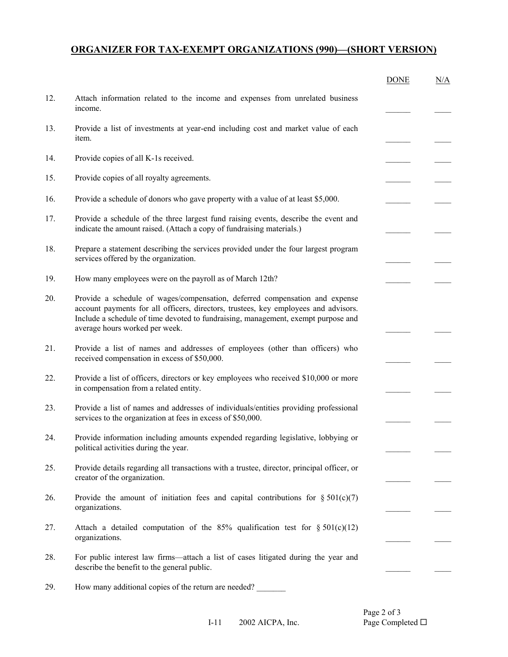#### **ORGANIZER FOR TAX-EXEMPT ORGANIZATIONS (990)—(SHORT VERSION)**

|     |                                                                                                                                                                                                                                                                                           | <b>DONE</b> | N/A |
|-----|-------------------------------------------------------------------------------------------------------------------------------------------------------------------------------------------------------------------------------------------------------------------------------------------|-------------|-----|
| 12. | Attach information related to the income and expenses from unrelated business<br>income.                                                                                                                                                                                                  |             |     |
| 13. | Provide a list of investments at year-end including cost and market value of each<br>item.                                                                                                                                                                                                |             |     |
| 14. | Provide copies of all K-1s received.                                                                                                                                                                                                                                                      |             |     |
| 15. | Provide copies of all royalty agreements.                                                                                                                                                                                                                                                 |             |     |
| 16. | Provide a schedule of donors who gave property with a value of at least \$5,000.                                                                                                                                                                                                          |             |     |
| 17. | Provide a schedule of the three largest fund raising events, describe the event and<br>indicate the amount raised. (Attach a copy of fundraising materials.)                                                                                                                              |             |     |
| 18. | Prepare a statement describing the services provided under the four largest program<br>services offered by the organization.                                                                                                                                                              |             |     |
| 19. | How many employees were on the payroll as of March 12th?                                                                                                                                                                                                                                  |             |     |
| 20. | Provide a schedule of wages/compensation, deferred compensation and expense<br>account payments for all officers, directors, trustees, key employees and advisors.<br>Include a schedule of time devoted to fundraising, management, exempt purpose and<br>average hours worked per week. |             |     |
| 21. | Provide a list of names and addresses of employees (other than officers) who<br>received compensation in excess of \$50,000.                                                                                                                                                              |             |     |
| 22. | Provide a list of officers, directors or key employees who received \$10,000 or more<br>in compensation from a related entity.                                                                                                                                                            |             |     |
| 23. | Provide a list of names and addresses of individuals/entities providing professional<br>services to the organization at fees in excess of \$50,000.                                                                                                                                       |             |     |
| 24. | Provide information including amounts expended regarding legislative, lobbying or<br>political activities during the year.                                                                                                                                                                |             |     |
| 25. | Provide details regarding all transactions with a trustee, director, principal officer, or<br>creator of the organization.                                                                                                                                                                |             |     |
| 26. | Provide the amount of initiation fees and capital contributions for $\S 501(c)(7)$<br>organizations.                                                                                                                                                                                      |             |     |
| 27. | Attach a detailed computation of the 85% qualification test for $\S 501(c)(12)$<br>organizations.                                                                                                                                                                                         |             |     |
| 28. | For public interest law firms—attach a list of cases litigated during the year and<br>describe the benefit to the general public.                                                                                                                                                         |             |     |

29. How many additional copies of the return are needed?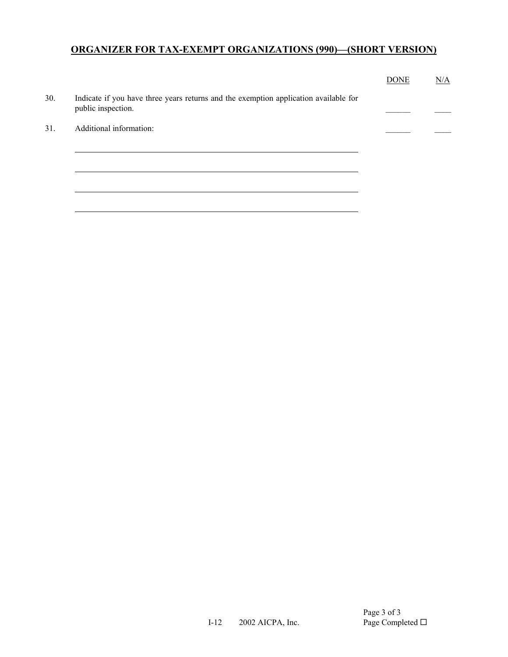# **ORGANIZER FOR TAX-EXEMPT ORGANIZATIONS (990)—(SHORT VERSION)**

|     |                                                                                                            | <b>DONE</b> | N/A |
|-----|------------------------------------------------------------------------------------------------------------|-------------|-----|
| 30. | Indicate if you have three years returns and the exemption application available for<br>public inspection. |             |     |
| 31. | Additional information:                                                                                    |             |     |
|     |                                                                                                            |             |     |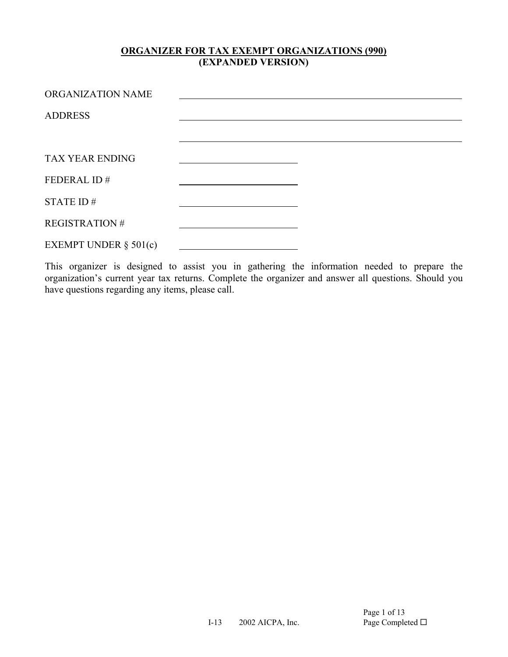| ORGANIZATION NAME        |  |
|--------------------------|--|
| <b>ADDRESS</b>           |  |
|                          |  |
| <b>TAX YEAR ENDING</b>   |  |
| FEDERAL ID#              |  |
| STATE ID $#$             |  |
| <b>REGISTRATION#</b>     |  |
| EXEMPT UNDER $\S$ 501(c) |  |

This organizer is designed to assist you in gathering the information needed to prepare the organization's current year tax returns. Complete the organizer and answer all questions. Should you have questions regarding any items, please call.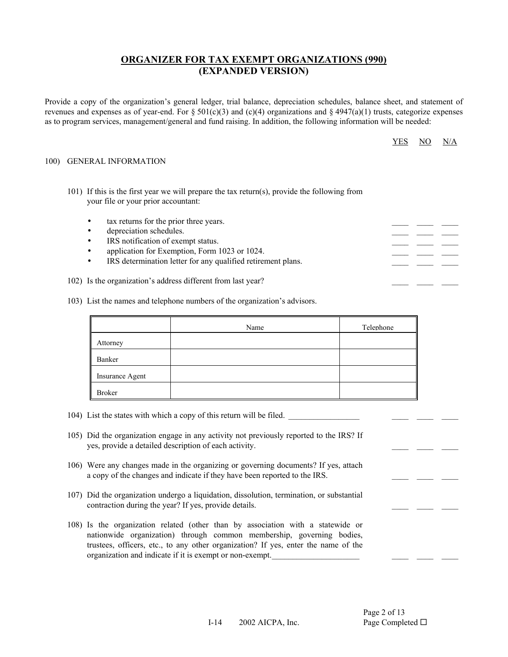Provide a copy of the organization's general ledger, trial balance, depreciation schedules, balance sheet, and statement of revenues and expenses as of year-end. For  $\S 501(c)(3)$  and  $(c)(4)$  organizations and  $\S 4947(a)(1)$  trusts, categorize expenses as to program services, management/general and fund raising. In addition, the following information will be needed:

| $YES$ NO N/A |  |  |
|--------------|--|--|
|--------------|--|--|

 $\frac{1}{2}$  ,  $\frac{1}{2}$  ,  $\frac{1}{2}$  ,  $\frac{1}{2}$ 

 $\frac{1}{2}$  ,  $\frac{1}{2}$  ,  $\frac{1}{2}$  ,  $\frac{1}{2}$ 

 $\frac{1}{2}$  ,  $\frac{1}{2}$  ,  $\frac{1}{2}$  ,  $\frac{1}{2}$ 

 $\frac{1}{2}$  ,  $\frac{1}{2}$  ,  $\frac{1}{2}$  ,  $\frac{1}{2}$ 

#### 100) GENERAL INFORMATION

- 101) If this is the first year we will prepare the tax return(s), provide the following from your file or your prior accountant:
	- tax returns for the prior three years.
	- depreciation schedules.
	- IRS notification of exempt status.
	- application for Exemption, Form 1023 or 1024.
	- IRS determination letter for any qualified retirement plans.
	- 102) Is the organization's address different from last year?
	- 103) List the names and telephone numbers of the organization's advisors.

|                 | Name | Telephone |
|-----------------|------|-----------|
| Attorney        |      |           |
| Banker          |      |           |
| Insurance Agent |      |           |
| <b>Broker</b>   |      |           |

- 104) List the states with which a copy of this return will be filed.
- 105) Did the organization engage in any activity not previously reported to the IRS? If yes, provide a detailed description of each activity.
- 106) Were any changes made in the organizing or governing documents? If yes, attach a copy of the changes and indicate if they have been reported to the IRS.
- 107) Did the organization undergo a liquidation, dissolution, termination, or substantial contraction during the year? If yes, provide details.
- 108) Is the organization related (other than by association with a statewide or nationwide organization) through common membership, governing bodies, trustees, officers, etc., to any other organization? If yes, enter the name of the organization and indicate if it is exempt or non-exempt.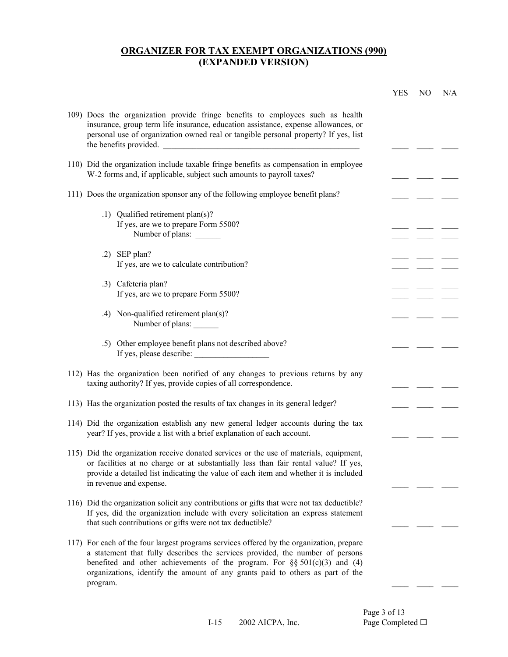|                                                                                                                                                                                                                                                                                                                                                          | <b>YES</b> | NO | N/A |
|----------------------------------------------------------------------------------------------------------------------------------------------------------------------------------------------------------------------------------------------------------------------------------------------------------------------------------------------------------|------------|----|-----|
| 109) Does the organization provide fringe benefits to employees such as health<br>insurance, group term life insurance, education assistance, expense allowances, or<br>personal use of organization owned real or tangible personal property? If yes, list<br>the benefits provided.                                                                    |            |    |     |
| 110) Did the organization include taxable fringe benefits as compensation in employee<br>W-2 forms and, if applicable, subject such amounts to payroll taxes?                                                                                                                                                                                            |            |    |     |
| 111) Does the organization sponsor any of the following employee benefit plans?                                                                                                                                                                                                                                                                          |            |    |     |
| .1) Qualified retirement plan(s)?<br>If yes, are we to prepare Form 5500?<br>Number of plans:                                                                                                                                                                                                                                                            |            |    |     |
| $.2)$ SEP plan?                                                                                                                                                                                                                                                                                                                                          |            |    |     |
| If yes, are we to calculate contribution?                                                                                                                                                                                                                                                                                                                |            |    |     |
| .3) Cafeteria plan?<br>If yes, are we to prepare Form 5500?                                                                                                                                                                                                                                                                                              |            |    |     |
| .4) Non-qualified retirement plan(s)?<br>Number of plans:                                                                                                                                                                                                                                                                                                |            |    |     |
| .5) Other employee benefit plans not described above?<br>If yes, please describe:                                                                                                                                                                                                                                                                        |            |    |     |
| 112) Has the organization been notified of any changes to previous returns by any<br>taxing authority? If yes, provide copies of all correspondence.                                                                                                                                                                                                     |            |    |     |
| 113) Has the organization posted the results of tax changes in its general ledger?                                                                                                                                                                                                                                                                       |            |    |     |
| 114) Did the organization establish any new general ledger accounts during the tax<br>year? If yes, provide a list with a brief explanation of each account.                                                                                                                                                                                             |            |    |     |
| 115) Did the organization receive donated services or the use of materials, equipment,<br>or facilities at no charge or at substantially less than fair rental value? If yes,<br>provide a detailed list indicating the value of each item and whether it is included<br>in revenue and expense.                                                         |            |    |     |
| 116) Did the organization solicit any contributions or gifts that were not tax deductible?<br>If yes, did the organization include with every solicitation an express statement<br>that such contributions or gifts were not tax deductible?                                                                                                             |            |    |     |
| 117) For each of the four largest programs services offered by the organization, prepare<br>a statement that fully describes the services provided, the number of persons<br>benefited and other achievements of the program. For $\S$ § 501(c)(3) and (4)<br>organizations, identify the amount of any grants paid to others as part of the<br>program. |            |    |     |
|                                                                                                                                                                                                                                                                                                                                                          |            |    |     |

Page 3 of 13<br>Page Completed  $\Box$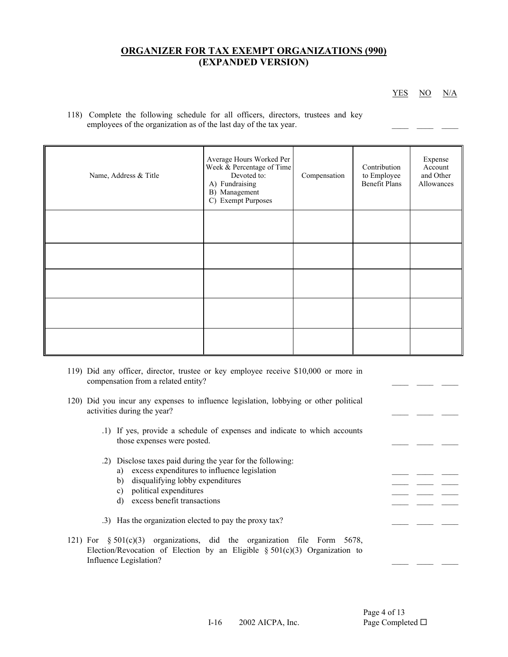YES NO N/A

 $\frac{1}{2}$  ,  $\frac{1}{2}$  ,  $\frac{1}{2}$  ,  $\frac{1}{2}$ 

 $\frac{1}{2}$  ,  $\frac{1}{2}$  ,  $\frac{1}{2}$  ,  $\frac{1}{2}$ 

 $\frac{1}{2}$  ,  $\frac{1}{2}$  ,  $\frac{1}{2}$  ,  $\frac{1}{2}$ 

 $\frac{1}{2}$  ,  $\frac{1}{2}$  ,  $\frac{1}{2}$  ,  $\frac{1}{2}$ 

 118) Complete the following schedule for all officers, directors, trustees and key employees of the organization as of the last day of the tax year.

| Name, Address & Title | Average Hours Worked Per<br>Week & Percentage of Time<br>Devoted to:<br>A) Fundraising<br>B) Management<br>C) Exempt Purposes | Compensation | Contribution<br>to Employee<br><b>Benefit Plans</b> | Expense<br>Account<br>and Other<br>Allowances |
|-----------------------|-------------------------------------------------------------------------------------------------------------------------------|--------------|-----------------------------------------------------|-----------------------------------------------|
|                       |                                                                                                                               |              |                                                     |                                               |
|                       |                                                                                                                               |              |                                                     |                                               |
|                       |                                                                                                                               |              |                                                     |                                               |
|                       |                                                                                                                               |              |                                                     |                                               |
|                       |                                                                                                                               |              |                                                     |                                               |

- 119) Did any officer, director, trustee or key employee receive \$10,000 or more in compensation from a related entity?
- 120) Did you incur any expenses to influence legislation, lobbying or other political activities during the year?
- .1) If yes, provide a schedule of expenses and indicate to which accounts those expenses were posted.
	- .2) Disclose taxes paid during the year for the following:
		- a) excess expenditures to influence legislation
		- b) disqualifying lobby expenditures
		- c) political expenditures
		- d) excess benefit transactions
	- .3) Has the organization elected to pay the proxy tax?
	- 121) For  $\S 501(c)(3)$  organizations, did the organization file Form 5678, Election/Revocation of Election by an Eligible  $\S 501(c)(3)$  Organization to Influence Legislation?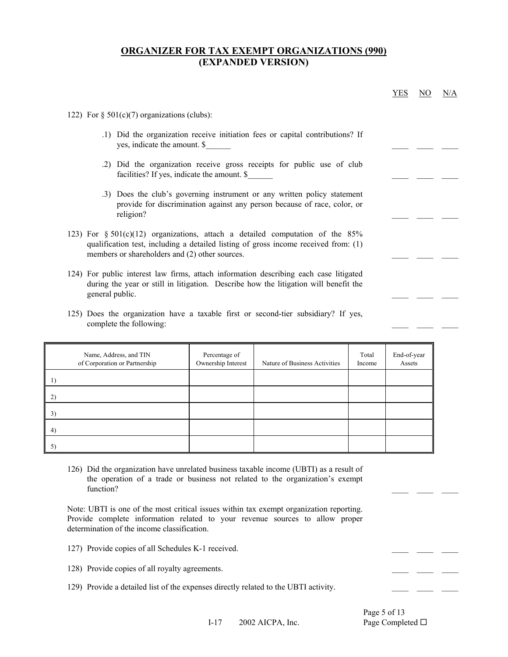|                                                                                                                                                                                                                           |                                                                                                                                                      |                                                                               |                 | <b>YES</b>            | NO | N/A |  |  |  |  |
|---------------------------------------------------------------------------------------------------------------------------------------------------------------------------------------------------------------------------|------------------------------------------------------------------------------------------------------------------------------------------------------|-------------------------------------------------------------------------------|-----------------|-----------------------|----|-----|--|--|--|--|
| 122) For $\S$ 501(c)(7) organizations (clubs):                                                                                                                                                                            |                                                                                                                                                      |                                                                               |                 |                       |    |     |  |  |  |  |
| yes, indicate the amount. \$                                                                                                                                                                                              |                                                                                                                                                      | .1) Did the organization receive initiation fees or capital contributions? If |                 |                       |    |     |  |  |  |  |
|                                                                                                                                                                                                                           | facilities? If yes, indicate the amount. \$                                                                                                          | .2) Did the organization receive gross receipts for public use of club        |                 |                       |    |     |  |  |  |  |
| religion?                                                                                                                                                                                                                 | .3) Does the club's governing instrument or any written policy statement<br>provide for discrimination against any person because of race, color, or |                                                                               |                 |                       |    |     |  |  |  |  |
| 123) For $\S 501(c)(12)$ organizations, attach a detailed computation of the 85%<br>qualification test, including a detailed listing of gross income received from: (1)<br>members or shareholders and (2) other sources. |                                                                                                                                                      |                                                                               |                 |                       |    |     |  |  |  |  |
| 124) For public interest law firms, attach information describing each case litigated<br>during the year or still in litigation. Describe how the litigation will benefit the<br>general public.                          |                                                                                                                                                      |                                                                               |                 |                       |    |     |  |  |  |  |
| complete the following:                                                                                                                                                                                                   | 125) Does the organization have a taxable first or second-tier subsidiary? If yes,                                                                   |                                                                               |                 |                       |    |     |  |  |  |  |
| Name, Address, and TIN<br>of Corporation or Partnership                                                                                                                                                                   | Percentage of<br>Ownership Interest                                                                                                                  | Nature of Business Activities                                                 | Total<br>Income | End-of-year<br>Assets |    |     |  |  |  |  |
| 1)                                                                                                                                                                                                                        |                                                                                                                                                      |                                                                               |                 |                       |    |     |  |  |  |  |
| 2)                                                                                                                                                                                                                        |                                                                                                                                                      |                                                                               |                 |                       |    |     |  |  |  |  |
| 3)                                                                                                                                                                                                                        |                                                                                                                                                      |                                                                               |                 |                       |    |     |  |  |  |  |
| 4)                                                                                                                                                                                                                        |                                                                                                                                                      |                                                                               |                 |                       |    |     |  |  |  |  |
| 5)                                                                                                                                                                                                                        |                                                                                                                                                      |                                                                               |                 |                       |    |     |  |  |  |  |
|                                                                                                                                                                                                                           |                                                                                                                                                      |                                                                               |                 |                       |    |     |  |  |  |  |
| 126) Did the organization have unrelated business taxable income (UBTI) as a result of<br>the operation of a trade or business not related to the organization's exempt<br>function?                                      |                                                                                                                                                      |                                                                               |                 |                       |    |     |  |  |  |  |
| Note: UBTI is one of the most critical issues within tax exempt organization reporting.<br>Provide complete information related to your revenue sources to allow proper<br>determination of the income classification.    |                                                                                                                                                      |                                                                               |                 |                       |    |     |  |  |  |  |
| 127) Provide copies of all Schedules K-1 received.                                                                                                                                                                        |                                                                                                                                                      |                                                                               |                 |                       |    |     |  |  |  |  |
| 128) Provide copies of all royalty agreements.                                                                                                                                                                            |                                                                                                                                                      |                                                                               |                 |                       |    |     |  |  |  |  |

I-17 © 2002 AICPA, Inc. Page Completed □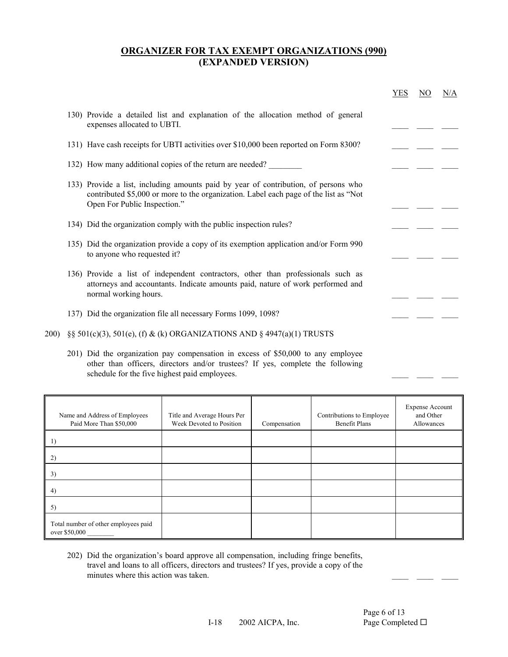|       |                                                                                                                                                                                                             | <b>YES</b> | NO. | N/A |
|-------|-------------------------------------------------------------------------------------------------------------------------------------------------------------------------------------------------------------|------------|-----|-----|
|       | 130) Provide a detailed list and explanation of the allocation method of general<br>expenses allocated to UBTI.                                                                                             |            |     |     |
|       | 131) Have cash receipts for UBTI activities over \$10,000 been reported on Form 8300?                                                                                                                       |            |     |     |
|       | 132) How many additional copies of the return are needed?                                                                                                                                                   |            |     |     |
|       | 133) Provide a list, including amounts paid by year of contribution, of persons who<br>contributed \$5,000 or more to the organization. Label each page of the list as "Not<br>Open For Public Inspection." |            |     |     |
|       | 134) Did the organization comply with the public inspection rules?                                                                                                                                          |            |     |     |
|       | 135) Did the organization provide a copy of its exemption application and/or Form 990<br>to anyone who requested it?                                                                                        |            |     |     |
|       | 136) Provide a list of independent contractors, other than professionals such as<br>attorneys and accountants. Indicate amounts paid, nature of work performed and<br>normal working hours.                 |            |     |     |
|       | 137) Did the organization file all necessary Forms 1099, 1098?                                                                                                                                              |            |     |     |
| 200). | §§ 501(c)(3), 501(e), (f) & (k) ORGANIZATIONS AND § 4947(a)(1) TRUSTS                                                                                                                                       |            |     |     |
|       | 201) Did the organization pay compensation in excess of \$50,000 to any employee<br>other than officers directors and/or trustees? If yes complete the following                                            |            |     |     |

|  |  | schedule for the five highest paid employees. |  |  | other than officers, directors and/or trustees? If yes, complete the following |  |
|--|--|-----------------------------------------------|--|--|--------------------------------------------------------------------------------|--|
|  |  |                                               |  |  |                                                                                |  |

| Name and Address of Employees<br>Paid More Than \$50,000 | Title and Average Hours Per<br>Week Devoted to Position | Compensation | Contributions to Employee<br>Benefit Plans | <b>Expense Account</b><br>and Other<br>Allowances |
|----------------------------------------------------------|---------------------------------------------------------|--------------|--------------------------------------------|---------------------------------------------------|
|                                                          |                                                         |              |                                            |                                                   |
| 2)                                                       |                                                         |              |                                            |                                                   |
| 3)                                                       |                                                         |              |                                            |                                                   |
| 4)                                                       |                                                         |              |                                            |                                                   |
| 5)                                                       |                                                         |              |                                            |                                                   |
| Total number of other employees paid<br>over \$50,000    |                                                         |              |                                            |                                                   |

 202) Did the organization's board approve all compensation, including fringe benefits, travel and loans to all officers, directors and trustees? If yes, provide a copy of the minutes where this action was taken.

 $\frac{1}{2}$  ,  $\frac{1}{2}$  ,  $\frac{1}{2}$  ,  $\frac{1}{2}$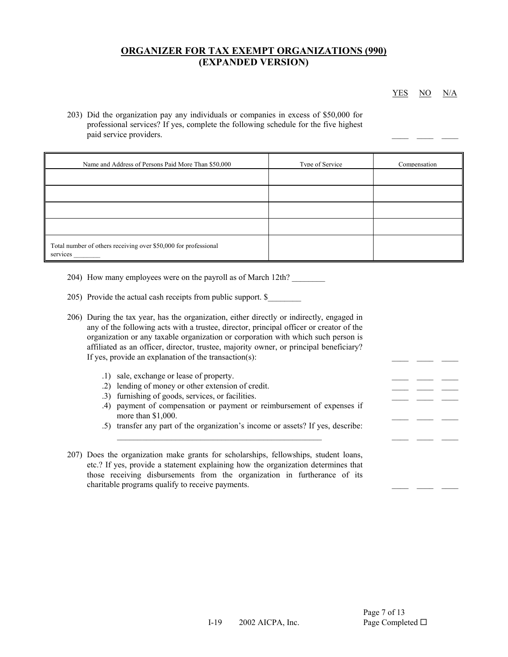YES NO N/A

 $\frac{1}{2}$  ,  $\frac{1}{2}$  ,  $\frac{1}{2}$  ,  $\frac{1}{2}$ 

 $\frac{1}{2}$  ,  $\frac{1}{2}$  ,  $\frac{1}{2}$  ,  $\frac{1}{2}$ 

 203) Did the organization pay any individuals or companies in excess of \$50,000 for professional services? If yes, complete the following schedule for the five highest paid service providers.

| Name and Address of Persons Paid More Than \$50,000                         | Type of Service | Compensation |
|-----------------------------------------------------------------------------|-----------------|--------------|
|                                                                             |                 |              |
|                                                                             |                 |              |
|                                                                             |                 |              |
|                                                                             |                 |              |
| Total number of others receiving over \$50,000 for professional<br>services |                 |              |

- 204) How many employees were on the payroll as of March 12th?
- 205) Provide the actual cash receipts from public support. \$

|  | 206) During the tax year, has the organization, either directly or indirectly, engaged in |
|--|-------------------------------------------------------------------------------------------|
|  | any of the following acts with a trustee, director, principal officer or creator of the   |
|  | organization or any taxable organization or corporation with which such person is         |
|  | affiliated as an officer, director, trustee, majority owner, or principal beneficiary?    |
|  | If yes, provide an explanation of the transaction(s):                                     |

- .1) sale, exchange or lease of property.
- .2) lending of money or other extension of credit.
- .3) furnishing of goods, services, or facilities.
- .4) payment of compensation or payment or reimbursement of expenses if more than \$1,000.
	- .5) transfer any part of the organization's income or assets? If yes, describe:
- 207) Does the organization make grants for scholarships, fellowships, student loans, etc.? If yes, provide a statement explaining how the organization determines that those receiving disbursements from the organization in furtherance of its charitable programs qualify to receive payments.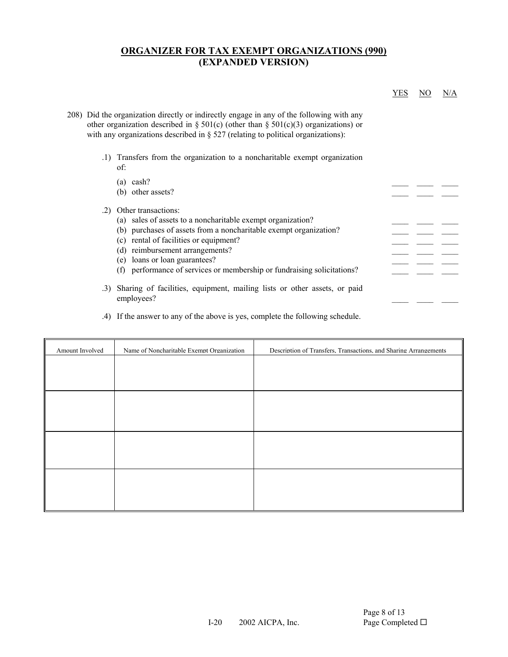|     | Transfers from the organization to a noncharitable exempt organization<br>of: |  |
|-----|-------------------------------------------------------------------------------|--|
|     | $(a)$ cash?                                                                   |  |
|     | (b) other assets?                                                             |  |
| .2) | Other transactions:                                                           |  |
|     | (a) sales of assets to a noncharitable exempt organization?                   |  |
|     | (b) purchases of assets from a noncharitable exempt organization?             |  |
|     | (c) rental of facilities or equipment?                                        |  |
|     | (d) reimbursement arrangements?                                               |  |
|     | (e) loans or loan guarantees?                                                 |  |
|     | performance of services or membership or fundraising solicitations?<br>(f)    |  |

#### .4) If the answer to any of the above is yes, complete the following schedule.

| Amount Involved | Name of Noncharitable Exempt Organization | Description of Transfers, Transactions, and Sharing Arrangements |
|-----------------|-------------------------------------------|------------------------------------------------------------------|
|                 |                                           |                                                                  |
|                 |                                           |                                                                  |
|                 |                                           |                                                                  |
|                 |                                           |                                                                  |
|                 |                                           |                                                                  |
|                 |                                           |                                                                  |
|                 |                                           |                                                                  |
|                 |                                           |                                                                  |
|                 |                                           |                                                                  |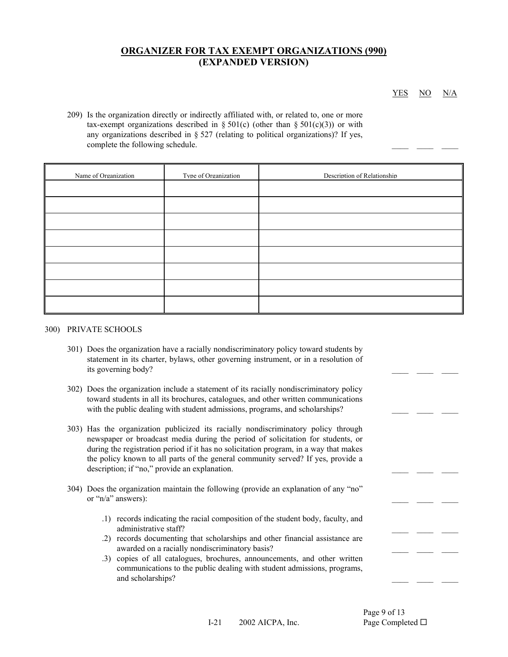YES NO N/A

 $\frac{1}{2}$  ,  $\frac{1}{2}$  ,  $\frac{1}{2}$  ,  $\frac{1}{2}$ 

 $\frac{1}{2}$  ,  $\frac{1}{2}$  ,  $\frac{1}{2}$  ,  $\frac{1}{2}$ 

 $\frac{1}{2}$  ,  $\frac{1}{2}$  ,  $\frac{1}{2}$  ,  $\frac{1}{2}$ 

 $\frac{1}{2}$  ,  $\frac{1}{2}$  ,  $\frac{1}{2}$  ,  $\frac{1}{2}$ 

 $\frac{1}{2}$  ,  $\frac{1}{2}$  ,  $\frac{1}{2}$  ,  $\frac{1}{2}$ 

 $\frac{1}{2}$  ,  $\frac{1}{2}$  ,  $\frac{1}{2}$  ,  $\frac{1}{2}$ 

 $\frac{1}{2}$  ,  $\frac{1}{2}$  ,  $\frac{1}{2}$  ,  $\frac{1}{2}$ 

 209) Is the organization directly or indirectly affiliated with, or related to, one or more tax-exempt organizations described in § 501(c) (other than § 501(c)(3)) or with any organizations described in § 527 (relating to political organizations)? If yes, complete the following schedule.

| Name of Organization | Tvpe of Organization | Description of Relationship |
|----------------------|----------------------|-----------------------------|
|                      |                      |                             |
|                      |                      |                             |
|                      |                      |                             |
|                      |                      |                             |
|                      |                      |                             |
|                      |                      |                             |
|                      |                      |                             |
|                      |                      |                             |

#### 300) PRIVATE SCHOOLS

- 301) Does the organization have a racially nondiscriminatory policy toward students by statement in its charter, bylaws, other governing instrument, or in a resolution of its governing body?
- 302) Does the organization include a statement of its racially nondiscriminatory policy toward students in all its brochures, catalogues, and other written communications with the public dealing with student admissions, programs, and scholarships?
- 303) Has the organization publicized its racially nondiscriminatory policy through newspaper or broadcast media during the period of solicitation for students, or during the registration period if it has no solicitation program, in a way that makes the policy known to all parts of the general community served? If yes, provide a description; if "no," provide an explanation.
- 304) Does the organization maintain the following (provide an explanation of any "no" or "n/a" answers):
	- .1) records indicating the racial composition of the student body, faculty, and administrative staff?
- .2) records documenting that scholarships and other financial assistance are awarded on a racially nondiscriminatory basis?
- .3) copies of all catalogues, brochures, announcements, and other written communications to the public dealing with student admissions, programs, and scholarships?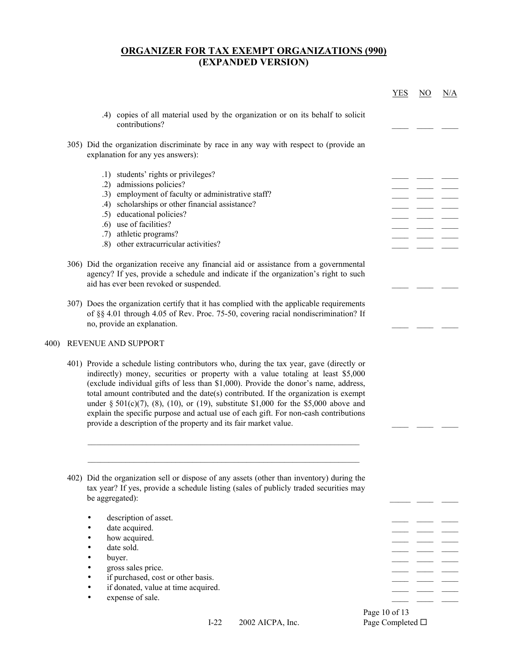|      |                                                                                                                                                                                                                                                                                                                                                                                                                                                                                                                                                                                                               | <b>YES</b> | $\underline{\mathrm{NO}}$ | <u>N/A</u> |
|------|---------------------------------------------------------------------------------------------------------------------------------------------------------------------------------------------------------------------------------------------------------------------------------------------------------------------------------------------------------------------------------------------------------------------------------------------------------------------------------------------------------------------------------------------------------------------------------------------------------------|------------|---------------------------|------------|
|      | .4) copies of all material used by the organization or on its behalf to solicit<br>contributions?                                                                                                                                                                                                                                                                                                                                                                                                                                                                                                             |            |                           |            |
|      | 305) Did the organization discriminate by race in any way with respect to (provide an<br>explanation for any yes answers):                                                                                                                                                                                                                                                                                                                                                                                                                                                                                    |            |                           |            |
|      | .1) students' rights or privileges?<br>.2) admissions policies?                                                                                                                                                                                                                                                                                                                                                                                                                                                                                                                                               |            |                           |            |
|      | .3) employment of faculty or administrative staff?                                                                                                                                                                                                                                                                                                                                                                                                                                                                                                                                                            |            |                           |            |
|      | .4) scholarships or other financial assistance?                                                                                                                                                                                                                                                                                                                                                                                                                                                                                                                                                               |            |                           |            |
|      | .5) educational policies?                                                                                                                                                                                                                                                                                                                                                                                                                                                                                                                                                                                     |            |                           |            |
|      | .6) use of facilities?                                                                                                                                                                                                                                                                                                                                                                                                                                                                                                                                                                                        |            |                           |            |
|      | .7) athletic programs?                                                                                                                                                                                                                                                                                                                                                                                                                                                                                                                                                                                        |            |                           |            |
|      | .8) other extracurricular activities?                                                                                                                                                                                                                                                                                                                                                                                                                                                                                                                                                                         |            |                           |            |
|      |                                                                                                                                                                                                                                                                                                                                                                                                                                                                                                                                                                                                               |            |                           |            |
|      | 306) Did the organization receive any financial aid or assistance from a governmental<br>agency? If yes, provide a schedule and indicate if the organization's right to such<br>aid has ever been revoked or suspended.                                                                                                                                                                                                                                                                                                                                                                                       |            |                           |            |
|      | 307) Does the organization certify that it has complied with the applicable requirements<br>of §§ 4.01 through 4.05 of Rev. Proc. 75-50, covering racial nondiscrimination? If<br>no, provide an explanation.                                                                                                                                                                                                                                                                                                                                                                                                 |            |                           |            |
| 400) | REVENUE AND SUPPORT                                                                                                                                                                                                                                                                                                                                                                                                                                                                                                                                                                                           |            |                           |            |
|      | 401) Provide a schedule listing contributors who, during the tax year, gave (directly or<br>indirectly) money, securities or property with a value totaling at least \$5,000<br>(exclude individual gifts of less than \$1,000). Provide the donor's name, address,<br>total amount contributed and the date(s) contributed. If the organization is exempt<br>under § 501(c)(7), (8), (10), or (19), substitute \$1,000 for the \$5,000 above and<br>explain the specific purpose and actual use of each gift. For non-cash contributions<br>provide a description of the property and its fair market value. |            |                           |            |
|      | 402) Did the organization sell or dispose of any assets (other than inventory) during the                                                                                                                                                                                                                                                                                                                                                                                                                                                                                                                     |            |                           |            |
|      | tax year? If yes, provide a schedule listing (sales of publicly traded securities may<br>be aggregated):                                                                                                                                                                                                                                                                                                                                                                                                                                                                                                      |            |                           |            |
|      | description of asset.                                                                                                                                                                                                                                                                                                                                                                                                                                                                                                                                                                                         |            |                           |            |
|      | date acquired.                                                                                                                                                                                                                                                                                                                                                                                                                                                                                                                                                                                                |            |                           |            |
|      | how acquired.                                                                                                                                                                                                                                                                                                                                                                                                                                                                                                                                                                                                 |            |                           |            |
|      | date sold.                                                                                                                                                                                                                                                                                                                                                                                                                                                                                                                                                                                                    |            |                           |            |
|      | buyer.                                                                                                                                                                                                                                                                                                                                                                                                                                                                                                                                                                                                        |            |                           |            |
|      | gross sales price.                                                                                                                                                                                                                                                                                                                                                                                                                                                                                                                                                                                            |            |                           |            |
|      | if purchased, cost or other basis.                                                                                                                                                                                                                                                                                                                                                                                                                                                                                                                                                                            |            |                           |            |
|      | if donated, value at time acquired.                                                                                                                                                                                                                                                                                                                                                                                                                                                                                                                                                                           |            |                           |            |
|      | expense of sale.                                                                                                                                                                                                                                                                                                                                                                                                                                                                                                                                                                                              |            |                           |            |

Page 10 of 13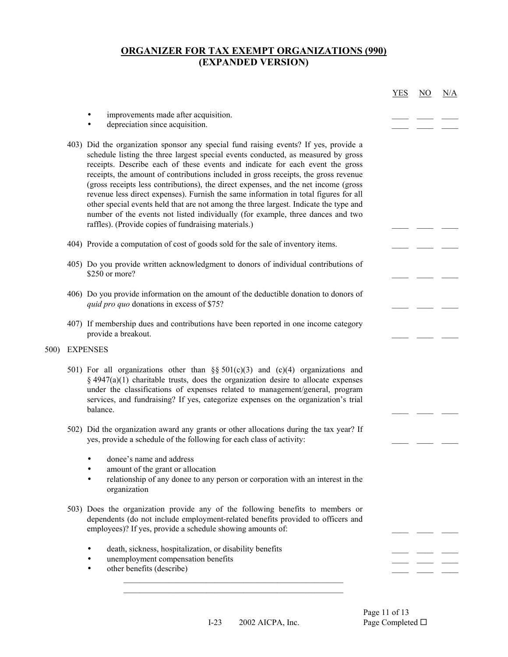|      |                                                                                                                                                                                                                                                                                                                                                                                                                                                                                                                                                                                                                                                                                                                                                                      | <b>YES</b> | $\overline{NO}$ | N/A |
|------|----------------------------------------------------------------------------------------------------------------------------------------------------------------------------------------------------------------------------------------------------------------------------------------------------------------------------------------------------------------------------------------------------------------------------------------------------------------------------------------------------------------------------------------------------------------------------------------------------------------------------------------------------------------------------------------------------------------------------------------------------------------------|------------|-----------------|-----|
|      | improvements made after acquisition.<br>depreciation since acquisition.<br>$\bullet$                                                                                                                                                                                                                                                                                                                                                                                                                                                                                                                                                                                                                                                                                 |            |                 |     |
|      | 403) Did the organization sponsor any special fund raising events? If yes, provide a<br>schedule listing the three largest special events conducted, as measured by gross<br>receipts. Describe each of these events and indicate for each event the gross<br>receipts, the amount of contributions included in gross receipts, the gross revenue<br>(gross receipts less contributions), the direct expenses, and the net income (gross<br>revenue less direct expenses). Furnish the same information in total figures for all<br>other special events held that are not among the three largest. Indicate the type and<br>number of the events not listed individually (for example, three dances and two<br>raffles). (Provide copies of fundraising materials.) |            |                 |     |
|      | 404) Provide a computation of cost of goods sold for the sale of inventory items.                                                                                                                                                                                                                                                                                                                                                                                                                                                                                                                                                                                                                                                                                    |            |                 |     |
|      | 405) Do you provide written acknowledgment to donors of individual contributions of<br>\$250 or more?                                                                                                                                                                                                                                                                                                                                                                                                                                                                                                                                                                                                                                                                |            |                 |     |
|      | 406) Do you provide information on the amount of the deductible donation to donors of<br>quid pro quo donations in excess of \$75?                                                                                                                                                                                                                                                                                                                                                                                                                                                                                                                                                                                                                                   |            |                 |     |
|      | 407) If membership dues and contributions have been reported in one income category<br>provide a breakout.                                                                                                                                                                                                                                                                                                                                                                                                                                                                                                                                                                                                                                                           |            |                 |     |
| 500) | <b>EXPENSES</b>                                                                                                                                                                                                                                                                                                                                                                                                                                                                                                                                                                                                                                                                                                                                                      |            |                 |     |
|      | 501) For all organizations other than §§ 501(c)(3) and (c)(4) organizations and<br>$\S$ 4947(a)(1) charitable trusts, does the organization desire to allocate expenses<br>under the classifications of expenses related to management/general, program<br>services, and fundraising? If yes, categorize expenses on the organization's trial<br>balance.                                                                                                                                                                                                                                                                                                                                                                                                            |            |                 |     |
|      | 502) Did the organization award any grants or other allocations during the tax year? If<br>yes, provide a schedule of the following for each class of activity:                                                                                                                                                                                                                                                                                                                                                                                                                                                                                                                                                                                                      |            |                 |     |
|      | donee's name and address<br>amount of the grant or allocation<br>٠<br>relationship of any donee to any person or corporation with an interest in the<br>$\bullet$<br>organization                                                                                                                                                                                                                                                                                                                                                                                                                                                                                                                                                                                    |            |                 |     |
|      | 503) Does the organization provide any of the following benefits to members or<br>dependents (do not include employment-related benefits provided to officers and<br>employees)? If yes, provide a schedule showing amounts of:                                                                                                                                                                                                                                                                                                                                                                                                                                                                                                                                      |            |                 |     |
|      | death, sickness, hospitalization, or disability benefits<br>unemployment compensation benefits<br>٠<br>other benefits (describe)<br>٠                                                                                                                                                                                                                                                                                                                                                                                                                                                                                                                                                                                                                                |            |                 |     |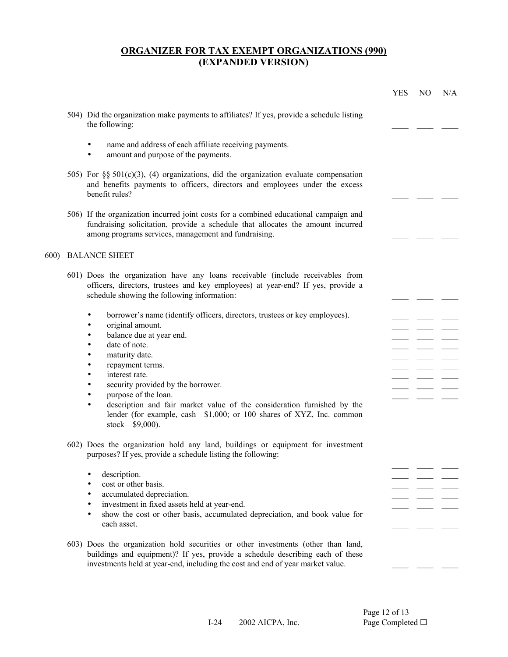|            |                                                                                                                                                                                                                                                                                                                                                                                                                                                                                                           | <b>YES</b> | $\overline{NO}$ | N/A |
|------------|-----------------------------------------------------------------------------------------------------------------------------------------------------------------------------------------------------------------------------------------------------------------------------------------------------------------------------------------------------------------------------------------------------------------------------------------------------------------------------------------------------------|------------|-----------------|-----|
|            | 504) Did the organization make payments to affiliates? If yes, provide a schedule listing<br>the following:                                                                                                                                                                                                                                                                                                                                                                                               |            |                 |     |
|            | name and address of each affiliate receiving payments.<br>amount and purpose of the payments.                                                                                                                                                                                                                                                                                                                                                                                                             |            |                 |     |
|            | 505) For §§ 501(c)(3), (4) organizations, did the organization evaluate compensation<br>and benefits payments to officers, directors and employees under the excess<br>benefit rules?                                                                                                                                                                                                                                                                                                                     |            |                 |     |
|            | 506) If the organization incurred joint costs for a combined educational campaign and<br>fundraising solicitation, provide a schedule that allocates the amount incurred<br>among programs services, management and fundraising.                                                                                                                                                                                                                                                                          |            |                 |     |
| <b>600</b> | <b>BALANCE SHEET</b>                                                                                                                                                                                                                                                                                                                                                                                                                                                                                      |            |                 |     |
|            | 601) Does the organization have any loans receivable (include receivables from<br>officers, directors, trustees and key employees) at year-end? If yes, provide a<br>schedule showing the following information:                                                                                                                                                                                                                                                                                          |            |                 |     |
|            | borrower's name (identify officers, directors, trustees or key employees).<br>٠<br>original amount.<br>٠<br>balance due at year end.<br>٠<br>date of note.<br>$\bullet$<br>maturity date.<br>٠<br>repayment terms.<br>٠<br>interest rate.<br>٠<br>security provided by the borrower.<br>٠<br>purpose of the loan.<br>٠<br>description and fair market value of the consideration furnished by the<br>$\bullet$<br>lender (for example, cash-\$1,000; or 100 shares of XYZ, Inc. common<br>stock-\$9,000). |            |                 |     |
|            | 602) Does the organization hold any land, buildings or equipment for investment<br>purposes? If yes, provide a schedule listing the following:<br>description.<br>cost or other basis.<br>$\bullet$<br>accumulated depreciation.<br>٠<br>investment in fixed assets held at year-end.<br>٠<br>show the cost or other basis, accumulated depreciation, and book value for<br>$\bullet$<br>each asset.                                                                                                      |            |                 |     |
|            | 603) Does the organization hold securities or other investments (other than land,<br>buildings and equipment)? If yes, provide a schedule describing each of these<br>investments held at year-end, including the cost and end of year market value.                                                                                                                                                                                                                                                      |            |                 |     |